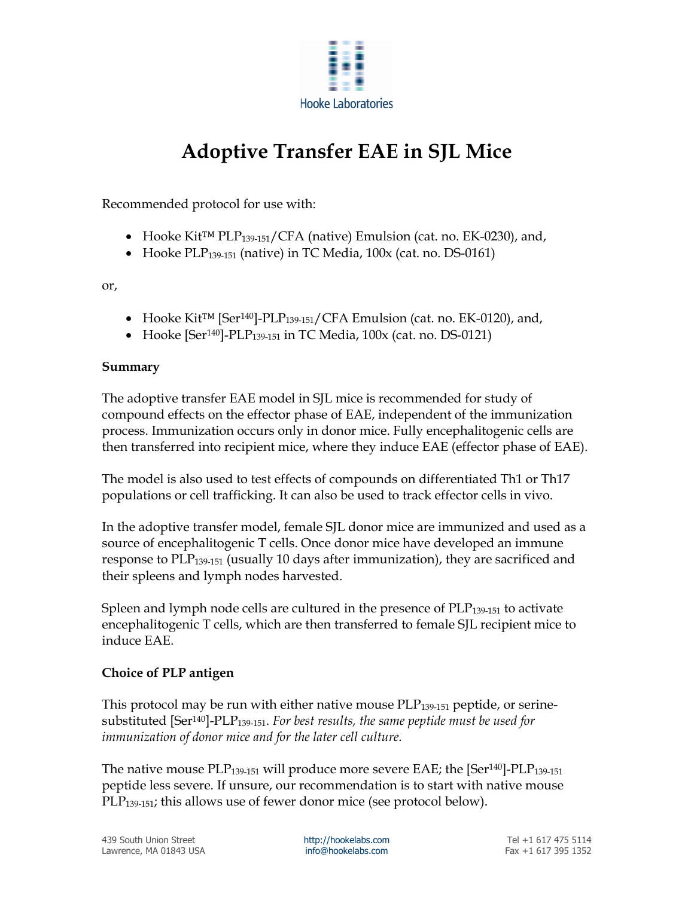

# Adoptive Transfer EAE in SJL Mice

Recommended protocol for use with:

- Hooke Kit™ PLP139-151/CFA (native) Emulsion (cat. no. EK-0230), and,
- Hooke PLP<sub>139-151</sub> (native) in TC Media,  $100x$  (cat. no. DS-0161)

or,

- Hooke Kit™ [Ser140]-PLP139-151/CFA Emulsion (cat. no. EK-0120), and,
- Hooke [Ser<sup>140</sup>]-PLP<sub>139-151</sub> in TC Media, 100x (cat. no. DS-0121)

### Summary

The adoptive transfer EAE model in SJL mice is recommended for study of compound effects on the effector phase of EAE, independent of the immunization process. Immunization occurs only in donor mice. Fully encephalitogenic cells are then transferred into recipient mice, where they induce EAE (effector phase of EAE).

The model is also used to test effects of compounds on differentiated Th1 or Th17 populations or cell trafficking. It can also be used to track effector cells in vivo.

In the adoptive transfer model, female SJL donor mice are immunized and used as a source of encephalitogenic T cells. Once donor mice have developed an immune response to PLP<sub>139-151</sub> (usually 10 days after immunization), they are sacrificed and their spleens and lymph nodes harvested.

Spleen and lymph node cells are cultured in the presence of  $PLP_{139-151}$  to activate encephalitogenic T cells, which are then transferred to female SJL recipient mice to induce EAE.

### Choice of PLP antigen

This protocol may be run with either native mouse  $PLP_{139-151}$  peptide, or serinesubstituted  $[Ser^{140}]-PLP_{139-151}$ . For best results, the same peptide must be used for immunization of donor mice and for the later cell culture.

The native mouse  $PLP_{139-151}$  will produce more severe EAE; the [Ser<sup>140</sup>]- $PLP_{139-151}$ peptide less severe. If unsure, our recommendation is to start with native mouse  $PLP<sub>139-151</sub>$ ; this allows use of fewer donor mice (see protocol below).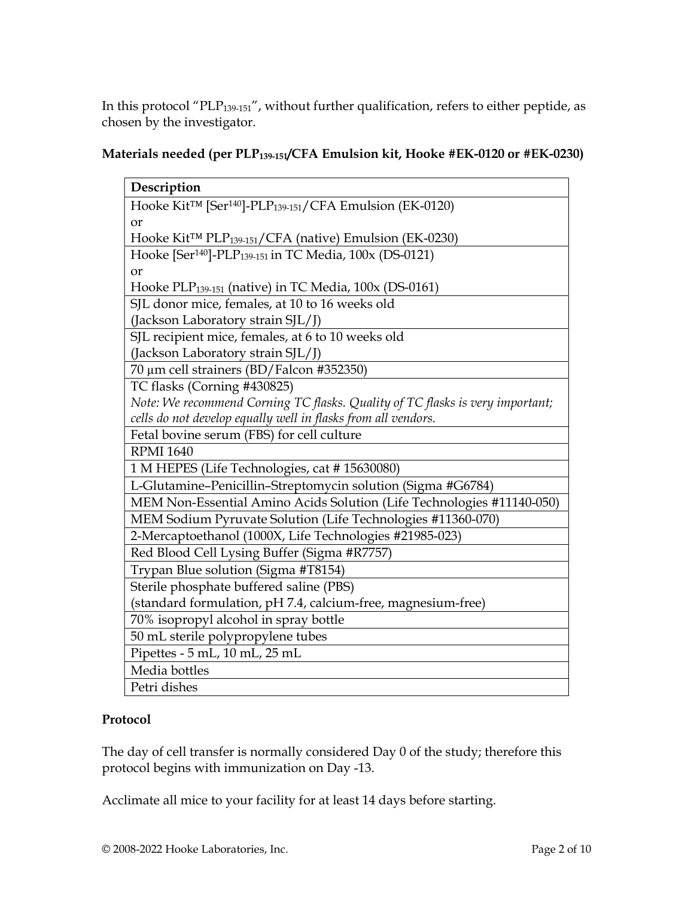In this protocol "PLP139-151", without further qualification, refers to either peptide, as chosen by the investigator.

## Materials needed (per PLP139-151/CFA Emulsion kit, Hooke #EK-0120 or #EK-0230)

| Description                                                                                  |  |  |
|----------------------------------------------------------------------------------------------|--|--|
| Hooke Kit <sup>TM</sup> [Ser <sup>140</sup> ]-PLP <sub>139-151</sub> /CFA Emulsion (EK-0120) |  |  |
| <b>or</b>                                                                                    |  |  |
| Hooke Kit <sup>™</sup> PLP <sub>139-151</sub> /CFA (native) Emulsion (EK-0230)               |  |  |
| Hooke [Ser <sup>140</sup> ]-PLP <sub>139-151</sub> in TC Media, 100x (DS-0121)               |  |  |
| <b>or</b>                                                                                    |  |  |
| Hooke PLP <sub>139-151</sub> (native) in TC Media, 100x (DS-0161)                            |  |  |
| SJL donor mice, females, at 10 to 16 weeks old                                               |  |  |
| (Jackson Laboratory strain SJL/J)                                                            |  |  |
| SJL recipient mice, females, at 6 to 10 weeks old                                            |  |  |
| (Jackson Laboratory strain SJL/J)                                                            |  |  |
| 70 μm cell strainers (BD/Falcon #352350)                                                     |  |  |
| TC flasks (Corning #430825)                                                                  |  |  |
| Note: We recommend Corning TC flasks. Quality of TC flasks is very important;                |  |  |
| cells do not develop equally well in flasks from all vendors.                                |  |  |
| Fetal bovine serum (FBS) for cell culture                                                    |  |  |
| <b>RPMI 1640</b>                                                                             |  |  |
| 1 M HEPES (Life Technologies, cat #15630080)                                                 |  |  |
| L-Glutamine-Penicillin-Streptomycin solution (Sigma #G6784)                                  |  |  |
| MEM Non-Essential Amino Acids Solution (Life Technologies #11140-050)                        |  |  |
| MEM Sodium Pyruvate Solution (Life Technologies #11360-070)                                  |  |  |
| 2-Mercaptoethanol (1000X, Life Technologies #21985-023)                                      |  |  |
| Red Blood Cell Lysing Buffer (Sigma #R7757)                                                  |  |  |
| Trypan Blue solution (Sigma #T8154)                                                          |  |  |
| Sterile phosphate buffered saline (PBS)                                                      |  |  |
| (standard formulation, pH 7.4, calcium-free, magnesium-free)                                 |  |  |
| 70% isopropyl alcohol in spray bottle                                                        |  |  |
| 50 mL sterile polypropylene tubes                                                            |  |  |
| Pipettes - 5 mL, 10 mL, 25 mL                                                                |  |  |
| Media bottles                                                                                |  |  |
| Petri dishes                                                                                 |  |  |

### Protocol

The day of cell transfer is normally considered Day 0 of the study; therefore this protocol begins with immunization on Day -13.

Acclimate all mice to your facility for at least 14 days before starting.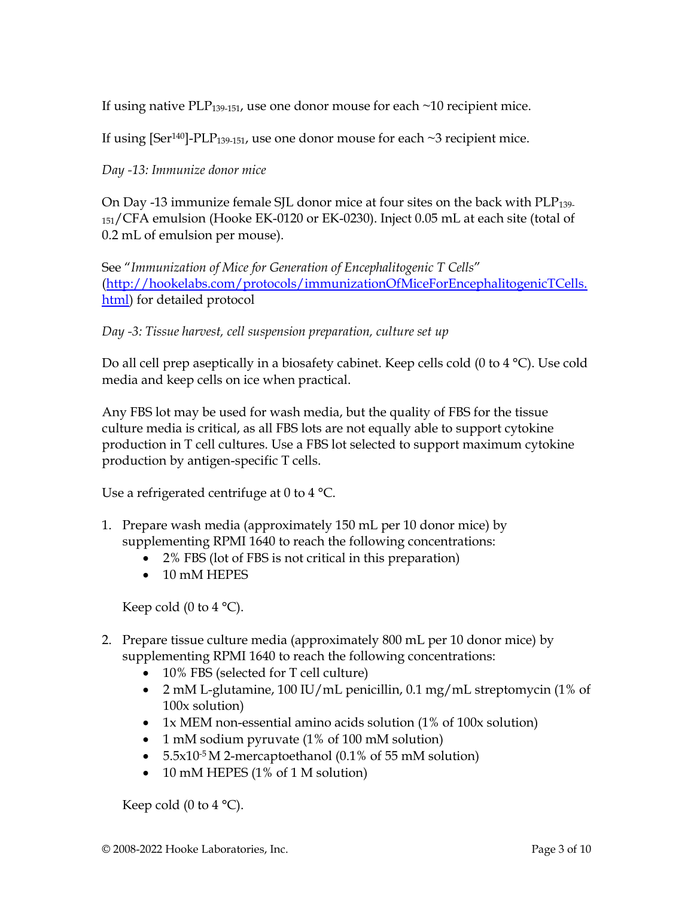If using native PLP<sub>139-151</sub>, use one donor mouse for each  $\sim$ 10 recipient mice.

If using  $[Ser<sup>140]</sup>-PLP<sub>139-151</sub>$ , use one donor mouse for each  $\sim$ 3 recipient mice.

Day -13: Immunize donor mice

On Day -13 immunize female SJL donor mice at four sites on the back with  $PLP_{139-}$ <sup>151</sup>/CFA emulsion (Hooke EK-0120 or EK-0230). Inject 0.05 mL at each site (total of 0.2 mL of emulsion per mouse).

See "Immunization of Mice for Generation of Encephalitogenic T Cells" (http://hookelabs.com/protocols/immunizationOfMiceForEncephalitogenicTCells. html) for detailed protocol

Day -3: Tissue harvest, cell suspension preparation, culture set up

Do all cell prep aseptically in a biosafety cabinet. Keep cells cold (0 to 4 °C). Use cold media and keep cells on ice when practical.

Any FBS lot may be used for wash media, but the quality of FBS for the tissue culture media is critical, as all FBS lots are not equally able to support cytokine production in T cell cultures. Use a FBS lot selected to support maximum cytokine production by antigen-specific T cells.

Use a refrigerated centrifuge at 0 to 4 °C.

- 1. Prepare wash media (approximately 150 mL per 10 donor mice) by supplementing RPMI 1640 to reach the following concentrations:
	- 2% FBS (lot of FBS is not critical in this preparation)
	- $\bullet$  10 mM HEPES

Keep cold  $(0 \text{ to } 4 \text{ }^{\circ}\text{C})$ .

- 2. Prepare tissue culture media (approximately 800 mL per 10 donor mice) by supplementing RPMI 1640 to reach the following concentrations:
	- 10% FBS (selected for T cell culture)
	- 2 mM L-glutamine, 100 IU/mL penicillin, 0.1 mg/mL streptomycin (1% of 100x solution)
	- 1x MEM non-essential amino acids solution (1% of 100x solution)
	- 1 mM sodium pyruvate (1% of 100 mM solution)
	- $5.5x10^{-5}$  M 2-mercaptoethanol (0.1% of 55 mM solution)
	- 10 mM HEPES (1% of 1 M solution)

Keep cold (0 to 4  $^{\circ}$ C).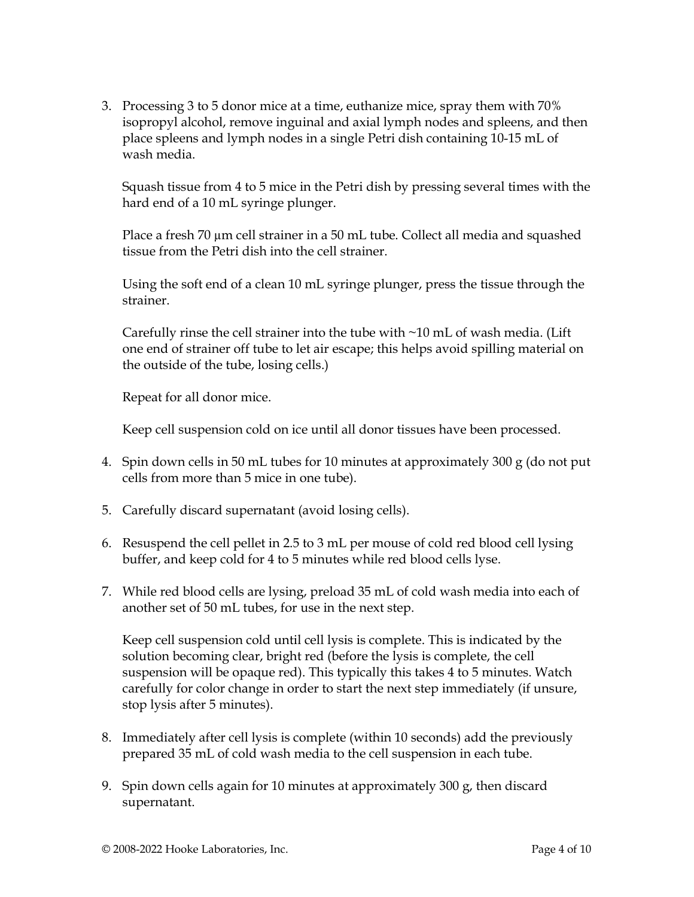3. Processing 3 to 5 donor mice at a time, euthanize mice, spray them with 70% isopropyl alcohol, remove inguinal and axial lymph nodes and spleens, and then place spleens and lymph nodes in a single Petri dish containing 10-15 mL of wash media.

Squash tissue from 4 to 5 mice in the Petri dish by pressing several times with the hard end of a 10 mL syringe plunger.

Place a fresh 70  $\mu$ m cell strainer in a 50 mL tube. Collect all media and squashed tissue from the Petri dish into the cell strainer.

Using the soft end of a clean 10 mL syringe plunger, press the tissue through the strainer.

Carefully rinse the cell strainer into the tube with ~10 mL of wash media. (Lift one end of strainer off tube to let air escape; this helps avoid spilling material on the outside of the tube, losing cells.)

Repeat for all donor mice.

Keep cell suspension cold on ice until all donor tissues have been processed.

- 4. Spin down cells in 50 mL tubes for 10 minutes at approximately 300 g (do not put cells from more than 5 mice in one tube).
- 5. Carefully discard supernatant (avoid losing cells).
- 6. Resuspend the cell pellet in 2.5 to 3 mL per mouse of cold red blood cell lysing buffer, and keep cold for 4 to 5 minutes while red blood cells lyse.
- 7. While red blood cells are lysing, preload 35 mL of cold wash media into each of another set of 50 mL tubes, for use in the next step.

Keep cell suspension cold until cell lysis is complete. This is indicated by the solution becoming clear, bright red (before the lysis is complete, the cell suspension will be opaque red). This typically this takes 4 to 5 minutes. Watch carefully for color change in order to start the next step immediately (if unsure, stop lysis after 5 minutes).

- 8. Immediately after cell lysis is complete (within 10 seconds) add the previously prepared 35 mL of cold wash media to the cell suspension in each tube.
- 9. Spin down cells again for 10 minutes at approximately 300  $g$ , then discard supernatant.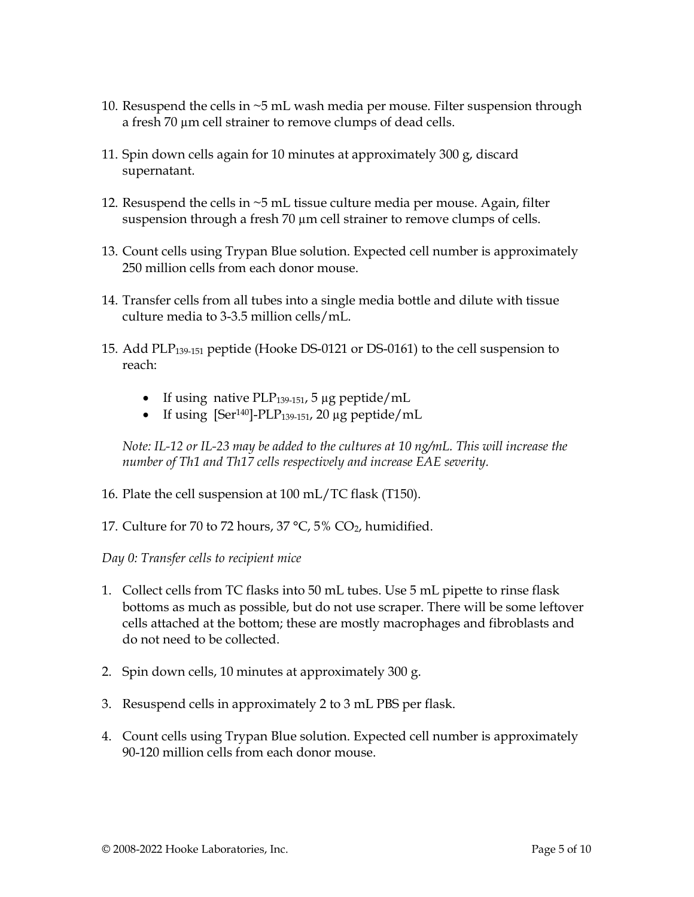- 10. Resuspend the cells in ~5 mL wash media per mouse. Filter suspension through a fresh 70 µm cell strainer to remove clumps of dead cells.
- 11. Spin down cells again for 10 minutes at approximately 300 g, discard supernatant.
- 12. Resuspend the cells in ~5 mL tissue culture media per mouse. Again, filter suspension through a fresh 70  $\mu$ m cell strainer to remove clumps of cells.
- 13. Count cells using Trypan Blue solution. Expected cell number is approximately 250 million cells from each donor mouse.
- 14. Transfer cells from all tubes into a single media bottle and dilute with tissue culture media to 3-3.5 million cells/mL.
- 15. Add PLP139-151 peptide (Hooke DS-0121 or DS-0161) to the cell suspension to reach:
	- If using native PLP $_{139-151}$ , 5 µg peptide/mL
	- $\bullet$  If using [Ser<sup>140</sup>]-PLP<sub>139-151</sub>, 20 µg peptide/mL

Note: IL-12 or IL-23 may be added to the cultures at 10 ng/mL. This will increase the number of Th1 and Th17 cells respectively and increase EAE severity.

- 16. Plate the cell suspension at 100 mL/TC flask (T150).
- 17. Culture for 70 to 72 hours,  $37 °C$ ,  $5\% CO<sub>2</sub>$  humidified.

Day 0: Transfer cells to recipient mice

- 1. Collect cells from TC flasks into 50 mL tubes. Use 5 mL pipette to rinse flask bottoms as much as possible, but do not use scraper. There will be some leftover cells attached at the bottom; these are mostly macrophages and fibroblasts and do not need to be collected.
- 2. Spin down cells, 10 minutes at approximately 300 g.
- 3. Resuspend cells in approximately 2 to 3 mL PBS per flask.
- 4. Count cells using Trypan Blue solution. Expected cell number is approximately 90-120 million cells from each donor mouse.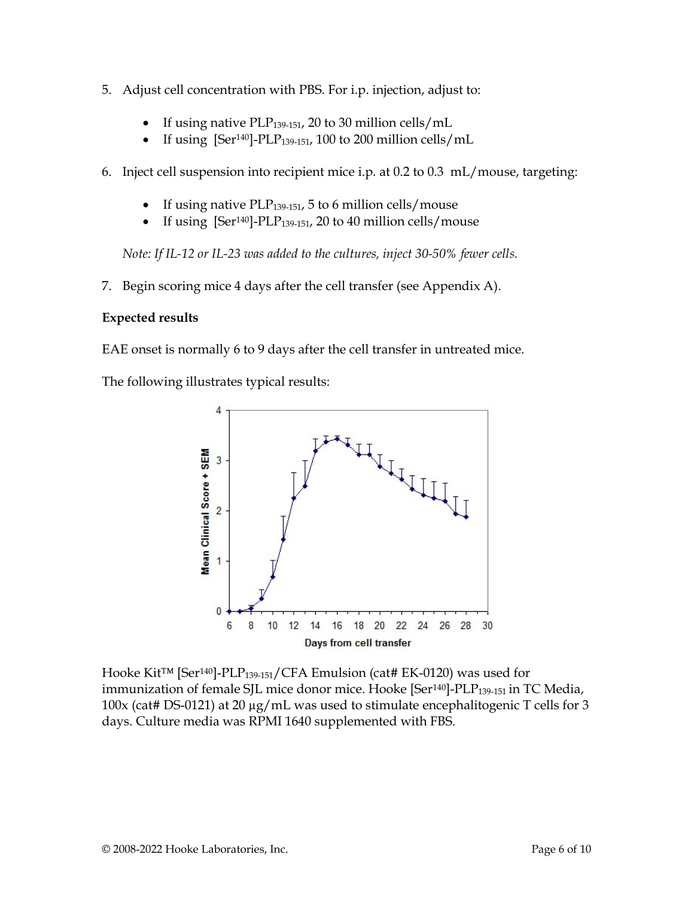- 5. Adjust cell concentration with PBS. For i.p. injection, adjust to:
	- If using native PLP $_{139-151}$ , 20 to 30 million cells/mL
	- If using  $[Ser^{140}]-PLP_{139-151}$ , 100 to 200 million cells/mL
- 6. Inject cell suspension into recipient mice i.p. at 0.2 to 0.3 mL/mouse, targeting:
	- If using native PLP<sub>139-151</sub>, 5 to 6 million cells/mouse
	- If using  $[Ser<sup>140]</sup>-PLP<sub>139-151</sub>, 20 to 40 million cells/mouse$

Note: If IL-12 or IL-23 was added to the cultures, inject 30-50% fewer cells.

7. Begin scoring mice 4 days after the cell transfer (see Appendix A).

### Expected results

EAE onset is normally 6 to 9 days after the cell transfer in untreated mice.

The following illustrates typical results:



Hooke Kit™ [Ser140]-PLP139-151/CFA Emulsion (cat# EK-0120) was used for immunization of female SJL mice donor mice. Hooke [Ser<sup>140</sup>]-PLP<sub>139-151</sub> in TC Media, 100x (cat# DS-0121) at 20 µg/mL was used to stimulate encephalitogenic T cells for 3 days. Culture media was RPMI 1640 supplemented with FBS.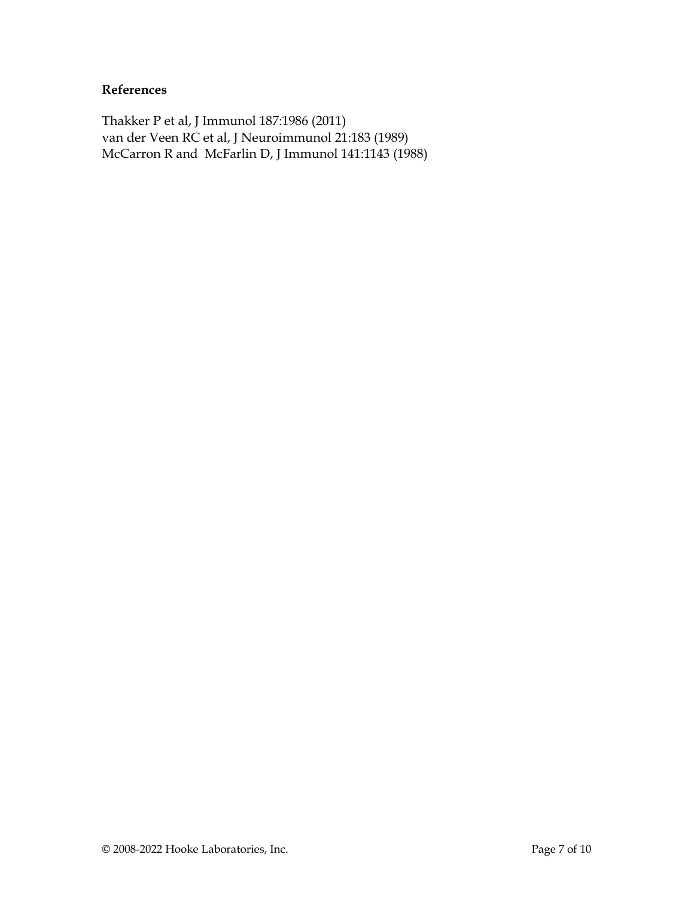### References

Thakker P et al, J Immunol 187:1986 (2011) van der Veen RC et al, J Neuroimmunol 21:183 (1989) McCarron R and McFarlin D, J Immunol 141:1143 (1988)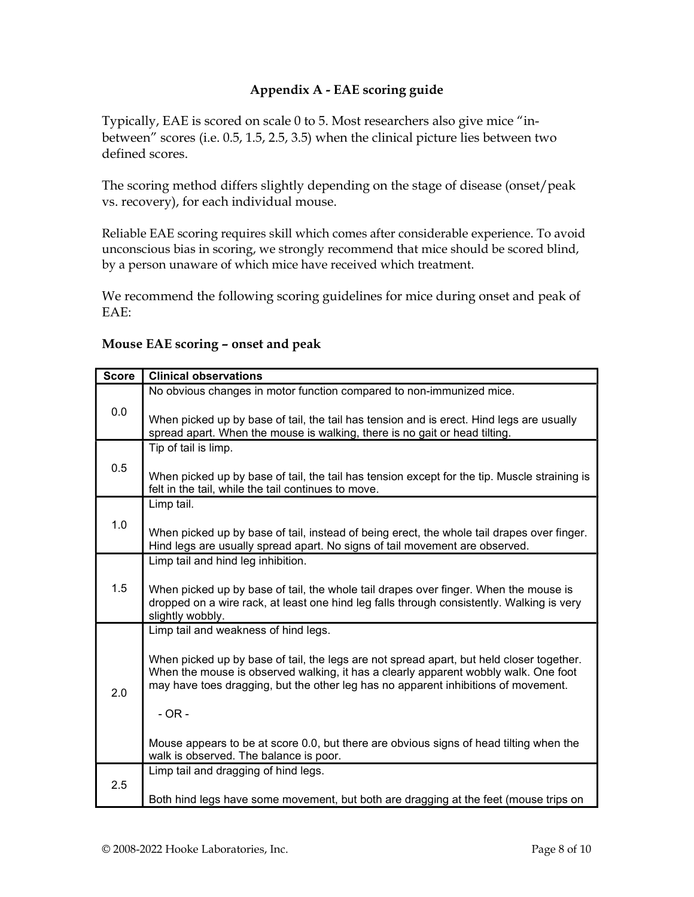## Appendix A - EAE scoring guide

Typically, EAE is scored on scale 0 to 5. Most researchers also give mice "inbetween" scores (i.e. 0.5, 1.5, 2.5, 3.5) when the clinical picture lies between two defined scores.

The scoring method differs slightly depending on the stage of disease (onset/peak vs. recovery), for each individual mouse.

Reliable EAE scoring requires skill which comes after considerable experience. To avoid unconscious bias in scoring, we strongly recommend that mice should be scored blind, by a person unaware of which mice have received which treatment.

We recommend the following scoring guidelines for mice during onset and peak of EAE:

## Score | Clinical observations 0.0 No obvious changes in motor function compared to non-immunized mice. When picked up by base of tail, the tail has tension and is erect. Hind legs are usually spread apart. When the mouse is walking, there is no gait or head tilting. 0.5 Tip of tail is limp. When picked up by base of tail, the tail has tension except for the tip. Muscle straining is felt in the tail, while the tail continues to move. 1.0 Limp tail. When picked up by base of tail, instead of being erect, the whole tail drapes over finger. Hind legs are usually spread apart. No signs of tail movement are observed. 1.5 Limp tail and hind leg inhibition. When picked up by base of tail, the whole tail drapes over finger. When the mouse is dropped on a wire rack, at least one hind leg falls through consistently. Walking is very slightly wobbly. Limp tail and weakness of hind legs.

### Mouse EAE scoring – onset and peak

2.0 When picked up by base of tail, the legs are not spread apart, but held closer together. When the mouse is observed walking, it has a clearly apparent wobbly walk. One foot may have toes dragging, but the other leg has no apparent inhibitions of movement. - OR - Mouse appears to be at score 0.0, but there are obvious signs of head tilting when the walk is observed. The balance is poor. 2.5 Limp tail and dragging of hind legs. Both hind legs have some movement, but both are dragging at the feet (mouse trips on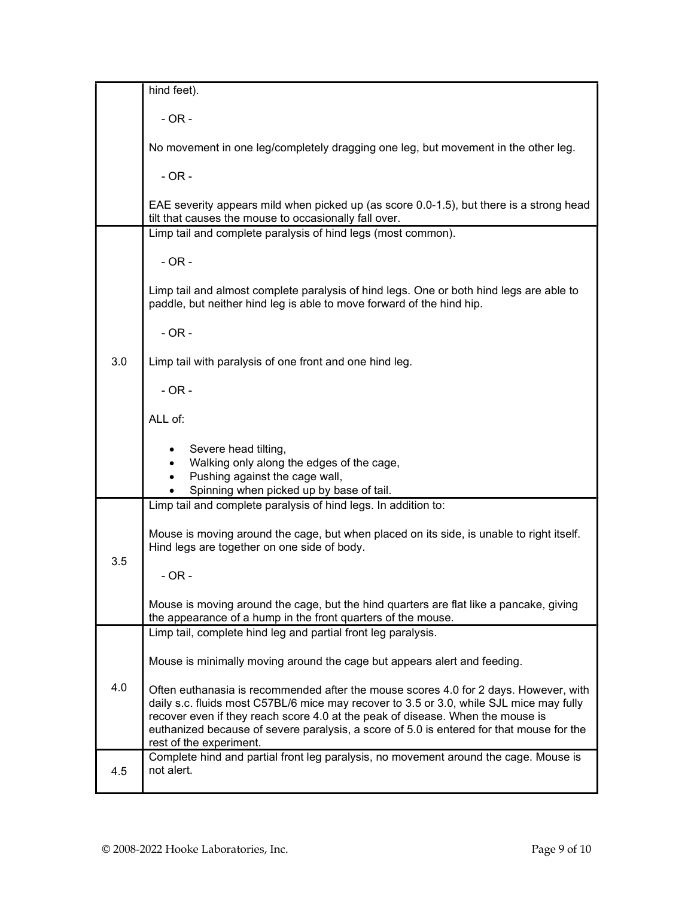|     | hind feet).                                                                                                                                                                                                                                                                                                                                                                              |
|-----|------------------------------------------------------------------------------------------------------------------------------------------------------------------------------------------------------------------------------------------------------------------------------------------------------------------------------------------------------------------------------------------|
|     | $-OR -$                                                                                                                                                                                                                                                                                                                                                                                  |
|     | No movement in one leg/completely dragging one leg, but movement in the other leg.                                                                                                                                                                                                                                                                                                       |
|     | $-OR -$                                                                                                                                                                                                                                                                                                                                                                                  |
|     | EAE severity appears mild when picked up (as score 0.0-1.5), but there is a strong head<br>tilt that causes the mouse to occasionally fall over.                                                                                                                                                                                                                                         |
|     | Limp tail and complete paralysis of hind legs (most common).                                                                                                                                                                                                                                                                                                                             |
|     | $-OR -$                                                                                                                                                                                                                                                                                                                                                                                  |
|     | Limp tail and almost complete paralysis of hind legs. One or both hind legs are able to<br>paddle, but neither hind leg is able to move forward of the hind hip.                                                                                                                                                                                                                         |
|     | $-OR -$                                                                                                                                                                                                                                                                                                                                                                                  |
| 3.0 | Limp tail with paralysis of one front and one hind leg.                                                                                                                                                                                                                                                                                                                                  |
|     | $-OR -$                                                                                                                                                                                                                                                                                                                                                                                  |
|     | ALL of:                                                                                                                                                                                                                                                                                                                                                                                  |
|     | Severe head tilting,<br>Walking only along the edges of the cage,<br>Pushing against the cage wall,<br>$\bullet$                                                                                                                                                                                                                                                                         |
|     | Spinning when picked up by base of tail.                                                                                                                                                                                                                                                                                                                                                 |
|     | Limp tail and complete paralysis of hind legs. In addition to:                                                                                                                                                                                                                                                                                                                           |
|     | Mouse is moving around the cage, but when placed on its side, is unable to right itself.<br>Hind legs are together on one side of body.                                                                                                                                                                                                                                                  |
| 3.5 | $-OR -$                                                                                                                                                                                                                                                                                                                                                                                  |
|     | Mouse is moving around the cage, but the hind quarters are flat like a pancake, giving<br>the appearance of a hump in the front quarters of the mouse.                                                                                                                                                                                                                                   |
|     | Limp tail, complete hind leg and partial front leg paralysis.                                                                                                                                                                                                                                                                                                                            |
|     | Mouse is minimally moving around the cage but appears alert and feeding.                                                                                                                                                                                                                                                                                                                 |
| 4.0 | Often euthanasia is recommended after the mouse scores 4.0 for 2 days. However, with<br>daily s.c. fluids most C57BL/6 mice may recover to 3.5 or 3.0, while SJL mice may fully<br>recover even if they reach score 4.0 at the peak of disease. When the mouse is<br>euthanized because of severe paralysis, a score of 5.0 is entered for that mouse for the<br>rest of the experiment. |